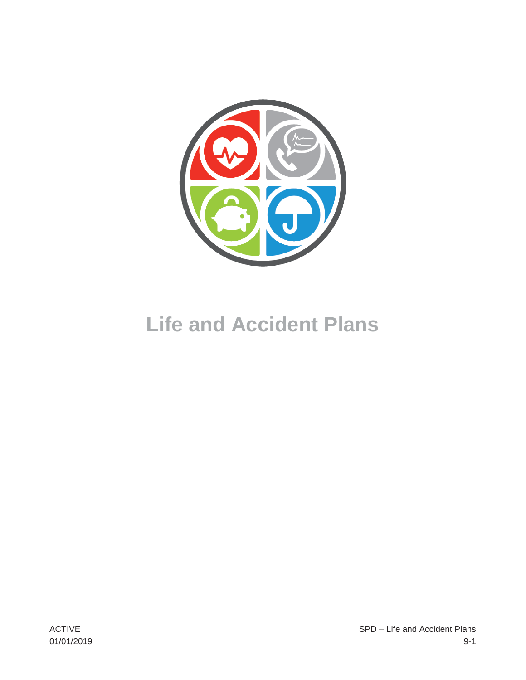

# **Life and Accident Plans**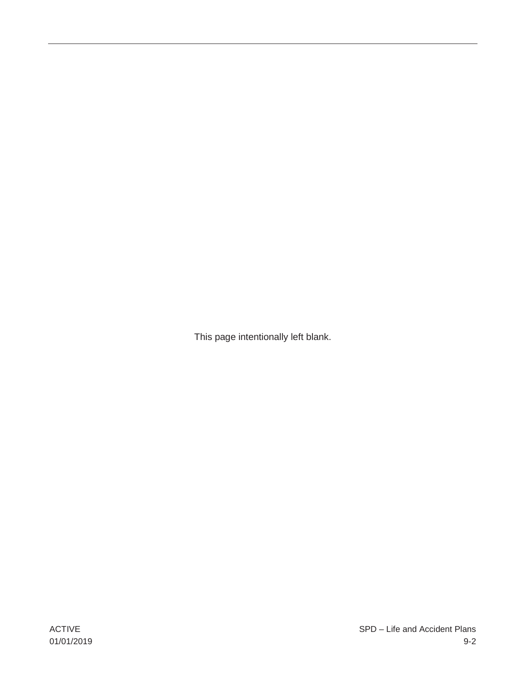This page intentionally left blank.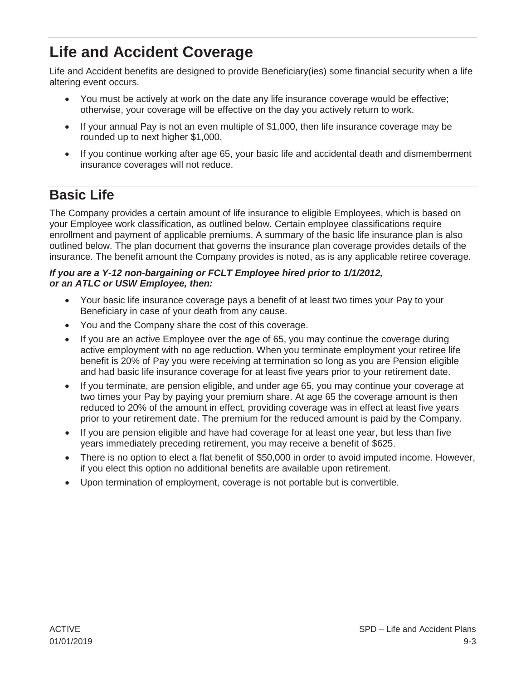# **Life and Accident Coverage**

Life and Accident benefits are designed to provide Beneficiary(ies) some financial security when a life altering event occurs.

- You must be actively at work on the date any life insurance coverage would be effective; otherwise, your coverage will be effective on the day you actively return to work.
- If your annual Pay is not an even multiple of \$1,000, then life insurance coverage may be rounded up to next higher \$1,000.
- If you continue working after age 65, your basic life and accidental death and dismemberment insurance coverages will not reduce.

# **Basic Life**

The Company provides a certain amount of life insurance to eligible Employees, which is based on your Employee work classification, as outlined below. Certain employee classifications require enrollment and payment of applicable premiums. A summary of the basic life insurance plan is also outlined below. The plan document that governs the insurance plan coverage provides details of the insurance. The benefit amount the Company provides is noted, as is any applicable retiree coverage.

#### *If you are a Y-12 non-bargaining or FCLT Employee hired prior to 1/1/2012, or an ATLC or USW Employee, then:*

- Your basic life insurance coverage pays a benefit of at least two times your Pay to your Beneficiary in case of your death from any cause.
- You and the Company share the cost of this coverage.
- If you are an active Employee over the age of 65, you may continue the coverage during active employment with no age reduction. When you terminate employment your retiree life benefit is 20% of Pay you were receiving at termination so long as you are Pension eligible and had basic life insurance coverage for at least five years prior to your retirement date.
- If you terminate, are pension eligible, and under age 65, you may continue your coverage at two times your Pay by paying your premium share. At age 65 the coverage amount is then reduced to 20% of the amount in effect, providing coverage was in effect at least five years prior to your retirement date. The premium for the reduced amount is paid by the Company.
- If you are pension eligible and have had coverage for at least one year, but less than five years immediately preceding retirement, you may receive a benefit of \$625.
- There is no option to elect a flat benefit of \$50,000 in order to avoid imputed income. However, if you elect this option no additional benefits are available upon retirement.
- Upon termination of employment, coverage is not portable but is convertible.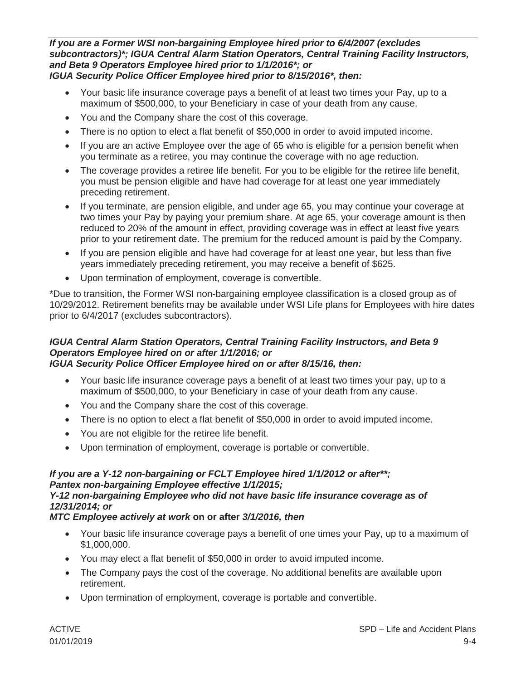*If you are a Former WSI non-bargaining Employee hired prior to 6/4/2007 (excludes subcontractors)\*; IGUA Central Alarm Station Operators, Central Training Facility Instructors, and Beta 9 Operators Employee hired prior to 1/1/2016\*; or IGUA Security Police Officer Employee hired prior to 8/15/2016\*, then:*

- Your basic life insurance coverage pays a benefit of at least two times your Pay, up to a maximum of \$500,000, to your Beneficiary in case of your death from any cause.
- You and the Company share the cost of this coverage.
- There is no option to elect a flat benefit of \$50,000 in order to avoid imputed income.
- If you are an active Employee over the age of 65 who is eligible for a pension benefit when you terminate as a retiree, you may continue the coverage with no age reduction.
- The coverage provides a retiree life benefit. For you to be eligible for the retiree life benefit, you must be pension eligible and have had coverage for at least one year immediately preceding retirement.
- If you terminate, are pension eligible, and under age 65, you may continue your coverage at two times your Pay by paying your premium share. At age 65, your coverage amount is then reduced to 20% of the amount in effect, providing coverage was in effect at least five years prior to your retirement date. The premium for the reduced amount is paid by the Company.
- If you are pension eligible and have had coverage for at least one year, but less than five years immediately preceding retirement, you may receive a benefit of \$625.
- Upon termination of employment, coverage is convertible.

\*Due to transition, the Former WSI non-bargaining employee classification is a closed group as of 10/29/2012. Retirement benefits may be available under WSI Life plans for Employees with hire dates prior to 6/4/2017 (excludes subcontractors).

#### *IGUA Central Alarm Station Operators, Central Training Facility Instructors, and Beta 9 Operators Employee hired on or after 1/1/2016; or IGUA Security Police Officer Employee hired on or after 8/15/16, then:*

- Your basic life insurance coverage pays a benefit of at least two times your pay, up to a maximum of \$500,000, to your Beneficiary in case of your death from any cause.
- You and the Company share the cost of this coverage.
- There is no option to elect a flat benefit of \$50,000 in order to avoid imputed income.
- You are not eligible for the retiree life benefit.
- Upon termination of employment, coverage is portable or convertible.

#### *If you are a Y-12 non-bargaining or FCLT Employee hired 1/1/2012 or after\*\*; Pantex non-bargaining Employee effective 1/1/2015;*

#### *Y-12 non-bargaining Employee who did not have basic life insurance coverage as of 12/31/2014; or*

#### *MTC Employee actively at work* **on or after** *3/1/2016, then*

- Your basic life insurance coverage pays a benefit of one times your Pay, up to a maximum of \$1,000,000.
- You may elect a flat benefit of \$50,000 in order to avoid imputed income.
- The Company pays the cost of the coverage. No additional benefits are available upon retirement.
- Upon termination of employment, coverage is portable and convertible.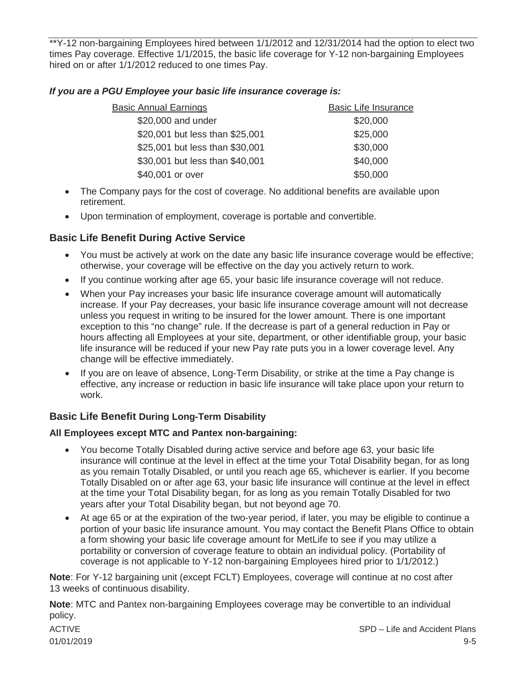\*\*Y-12 non-bargaining Employees hired between 1/1/2012 and 12/31/2014 had the option to elect two times Pay coverage. Effective 1/1/2015, the basic life coverage for Y-12 non-bargaining Employees hired on or after 1/1/2012 reduced to one times Pay.

#### *If you are a PGU Employee your basic life insurance coverage is:*

| <b>Basic Annual Earnings</b>    | <b>Basic Life Insurance</b> |
|---------------------------------|-----------------------------|
| \$20,000 and under              | \$20,000                    |
| \$20,001 but less than \$25,001 | \$25,000                    |
| \$25,001 but less than \$30,001 | \$30,000                    |
| \$30,001 but less than \$40,001 | \$40,000                    |
| \$40,001 or over                | \$50,000                    |

- The Company pays for the cost of coverage. No additional benefits are available upon retirement.
- Upon termination of employment, coverage is portable and convertible.

#### **Basic Life Benefit During Active Service**

- You must be actively at work on the date any basic life insurance coverage would be effective; otherwise, your coverage will be effective on the day you actively return to work.
- If you continue working after age 65, your basic life insurance coverage will not reduce.
- When your Pay increases your basic life insurance coverage amount will automatically increase. If your Pay decreases, your basic life insurance coverage amount will not decrease unless you request in writing to be insured for the lower amount. There is one important exception to this "no change" rule. If the decrease is part of a general reduction in Pay or hours affecting all Employees at your site, department, or other identifiable group, your basic life insurance will be reduced if your new Pay rate puts you in a lower coverage level. Any change will be effective immediately.
- If you are on leave of absence, Long-Term Disability, or strike at the time a Pay change is effective, any increase or reduction in basic life insurance will take place upon your return to work.

#### **Basic Life Benefit During Long-Term Disability**

#### **All Employees except MTC and Pantex non-bargaining:**

- You become Totally Disabled during active service and before age 63, your basic life insurance will continue at the level in effect at the time your Total Disability began, for as long as you remain Totally Disabled, or until you reach age 65, whichever is earlier. If you become Totally Disabled on or after age 63, your basic life insurance will continue at the level in effect at the time your Total Disability began, for as long as you remain Totally Disabled for two years after your Total Disability began, but not beyond age 70.
- At age 65 or at the expiration of the two-year period, if later, you may be eligible to continue a portion of your basic life insurance amount. You may contact the Benefit Plans Office to obtain a form showing your basic life coverage amount for MetLife to see if you may utilize a portability or conversion of coverage feature to obtain an individual policy. (Portability of coverage is not applicable to Y-12 non-bargaining Employees hired prior to 1/1/2012.)

**Note**: For Y-12 bargaining unit (except FCLT) Employees, coverage will continue at no cost after 13 weeks of continuous disability.

**Note**: MTC and Pantex non-bargaining Employees coverage may be convertible to an individual policy.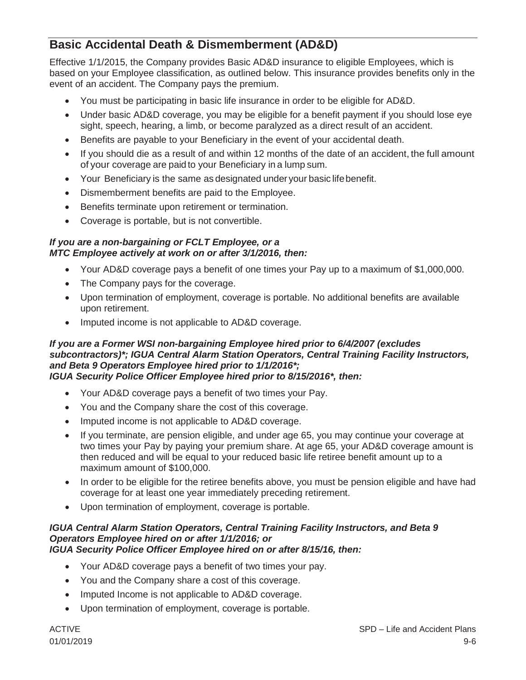# **Basic Accidental Death & Dismemberment (AD&D)**

Effective 1/1/2015, the Company provides Basic AD&D insurance to eligible Employees, which is based on your Employee classification, as outlined below. This insurance provides benefits only in the event of an accident. The Company pays the premium.

- You must be participating in basic life insurance in order to be eligible for AD&D.
- Under basic AD&D coverage, you may be eligible for a benefit payment if you should lose eye sight, speech, hearing, a limb, or become paralyzed as a direct result of an accident.
- Benefits are payable to your Beneficiary in the event of your accidental death.
- $\bullet$  If you should die as a result of and within 12 months of the date of an accident, the full amount of your coverage are paid to your Beneficiary in a lump sum.
- Your Beneficiary is the same as designated under your basic life benefit.
- Dismemberment benefits are paid to the Employee.
- **•** Benefits terminate upon retirement or termination.
- Coverage is portable, but is not convertible.

#### *If you are a non-bargaining or FCLT Employee, or a MTC Employee actively at work on or after 3/1/2016, then:*

- Your AD&D coverage pays a benefit of one times your Pay up to a maximum of \$1,000,000.
- The Company pays for the coverage.
- Upon termination of employment, coverage is portable. No additional benefits are available upon retirement.
- Imputed income is not applicable to AD&D coverage.

#### *If you are a Former WSI non-bargaining Employee hired prior to 6/4/2007 (excludes subcontractors)\*; IGUA Central Alarm Station Operators, Central Training Facility Instructors, and Beta 9 Operators Employee hired prior to 1/1/2016\*; IGUA Security Police Officer Employee hired prior to 8/15/2016\*, then:*

- Your AD&D coverage pays a benefit of two times your Pay.
- You and the Company share the cost of this coverage.
- Imputed income is not applicable to AD&D coverage.
- If you terminate, are pension eligible, and under age 65, you may continue your coverage at two times your Pay by paying your premium share. At age 65, your AD&D coverage amount is then reduced and will be equal to your reduced basic life retiree benefit amount up to a maximum amount of \$100,000.
- In order to be eligible for the retiree benefits above, you must be pension eligible and have had coverage for at least one year immediately preceding retirement.
- Upon termination of employment, coverage is portable.

#### *IGUA Central Alarm Station Operators, Central Training Facility Instructors, and Beta 9 Operators Employee hired on or after 1/1/2016; or IGUA Security Police Officer Employee hired on or after 8/15/16, then:*

- Your AD&D coverage pays a benefit of two times your pay.
- You and the Company share a cost of this coverage.
- Imputed Income is not applicable to AD&D coverage.
- Upon termination of employment, coverage is portable.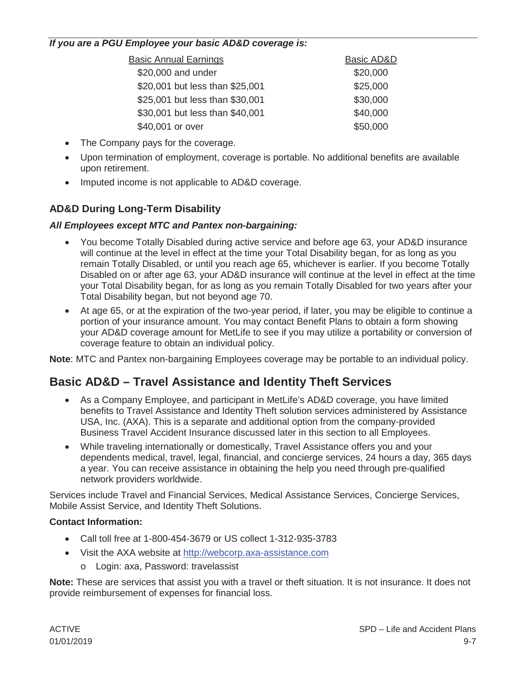#### *If you are a PGU Employee your basic AD&D coverage is:*

| <b>Basic AD&amp;D</b> |
|-----------------------|
| \$20,000              |
| \$25,000              |
| \$30,000              |
| \$40,000              |
| \$50,000              |
|                       |

- The Company pays for the coverage.
- Upon termination of employment, coverage is portable. No additional benefits are available upon retirement.
- Imputed income is not applicable to AD&D coverage.

#### **AD&D During Long-Term Disability**

#### *All Employees except MTC and Pantex non-bargaining:*

- You become Totally Disabled during active service and before age 63, your AD&D insurance will continue at the level in effect at the time your Total Disability began, for as long as you remain Totally Disabled, or until you reach age 65, whichever is earlier. If you become Totally Disabled on or after age 63, your AD&D insurance will continue at the level in effect at the time your Total Disability began, for as long as you remain Totally Disabled for two years after your Total Disability began, but not beyond age 70.
- At age 65, or at the expiration of the two-year period, if later, you may be eligible to continue a portion of your insurance amount. You may contact Benefit Plans to obtain a form showing your AD&D coverage amount for MetLife to see if you may utilize a portability or conversion of coverage feature to obtain an individual policy.

**Note**: MTC and Pantex non-bargaining Employees coverage may be portable to an individual policy.

### **Basic AD&D – Travel Assistance and Identity Theft Services**

- As a Company Employee, and participant in MetLife's AD&D coverage, you have limited benefits to Travel Assistance and Identity Theft solution services administered by Assistance USA, Inc. (AXA). This is a separate and additional option from the company-provided Business Travel Accident Insurance discussed later in this section to all Employees.
- While traveling internationally or domestically, Travel Assistance offers you and your dependents medical, travel, legal, financial, and concierge services, 24 hours a day, 365 days a year. You can receive assistance in obtaining the help you need through pre-qualified network providers worldwide.

Services include Travel and Financial Services, Medical Assistance Services, Concierge Services, Mobile Assist Service, and Identity Theft Solutions.

#### **Contact Information:**

- x Call toll free at 1-800-454-3679 or US collect 1-312-935-3783
- Visit the AXA website at http://webcorp.axa-assistance.com
	- o Login: axa, Password: travelassist

**Note:** These are services that assist you with a travel or theft situation. It is not insurance. It does not provide reimbursement of expenses for financial loss.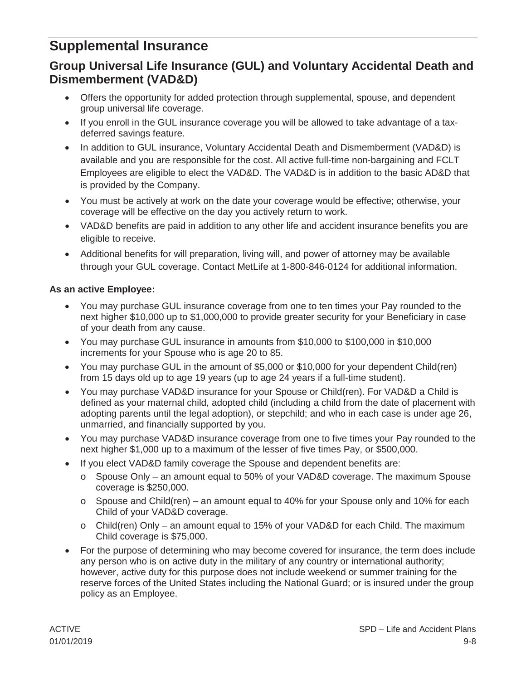# **Supplemental Insurance**

### **Group Universal Life Insurance (GUL) and Voluntary Accidental Death and Dismemberment (VAD&D)**

- Offers the opportunity for added protection through supplemental, spouse, and dependent group universal life coverage.
- If you enroll in the GUL insurance coverage you will be allowed to take advantage of a taxdeferred savings feature.
- In addition to GUL insurance, Voluntary Accidental Death and Dismemberment (VAD&D) is available and you are responsible for the cost. All active full-time non-bargaining and FCLT Employees are eligible to elect the VAD&D. The VAD&D is in addition to the basic AD&D that is provided by the Company.
- You must be actively at work on the date your coverage would be effective; otherwise, your coverage will be effective on the day you actively return to work.
- VAD&D benefits are paid in addition to any other life and accident insurance benefits you are eligible to receive.
- Additional benefits for will preparation, living will, and power of attorney may be available through your GUL coverage. Contact MetLife at 1-800-846-0124 for additional information.

#### **As an active Employee:**

- You may purchase GUL insurance coverage from one to ten times your Pay rounded to the next higher \$10,000 up to \$1,000,000 to provide greater security for your Beneficiary in case of your death from any cause.
- You may purchase GUL insurance in amounts from \$10,000 to \$100,000 in \$10,000 increments for your Spouse who is age 20 to 85.
- You may purchase GUL in the amount of \$5,000 or \$10,000 for your dependent Child(ren) from 15 days old up to age 19 years (up to age 24 years if a full-time student).
- You may purchase VAD&D insurance for your Spouse or Child(ren). For VAD&D a Child is defined as your maternal child, adopted child (including a child from the date of placement with adopting parents until the legal adoption), or stepchild; and who in each case is under age 26, unmarried, and financially supported by you.
- You may purchase VAD&D insurance coverage from one to five times your Pay rounded to the next higher \$1,000 up to a maximum of the lesser of five times Pay, or \$500,000.
- If you elect VAD&D family coverage the Spouse and dependent benefits are:
	- o Spouse Only an amount equal to 50% of your VAD&D coverage. The maximum Spouse coverage is \$250,000.
	- $\circ$  Spouse and Child(ren) an amount equal to 40% for your Spouse only and 10% for each Child of your VAD&D coverage.
	- o Child(ren) Only an amount equal to 15% of your VAD&D for each Child. The maximum Child coverage is \$75,000.
- For the purpose of determining who may become covered for insurance, the term does include any person who is on active duty in the military of any country or international authority; however, active duty for this purpose does not include weekend or summer training for the reserve forces of the United States including the National Guard; or is insured under the group policy as an Employee.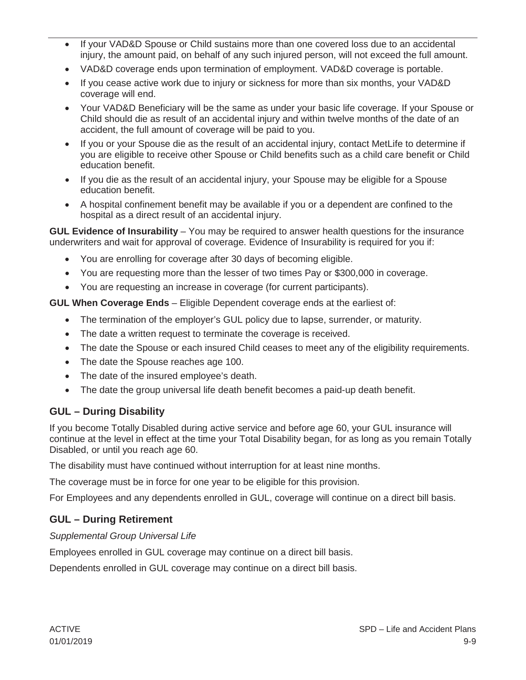- If your VAD&D Spouse or Child sustains more than one covered loss due to an accidental injury, the amount paid, on behalf of any such injured person, will not exceed the full amount.
- VAD&D coverage ends upon termination of employment. VAD&D coverage is portable.
- If you cease active work due to injury or sickness for more than six months, your VAD&D coverage will end.
- Your VAD&D Beneficiary will be the same as under your basic life coverage. If your Spouse or Child should die as result of an accidental injury and within twelve months of the date of an accident, the full amount of coverage will be paid to you.
- If you or your Spouse die as the result of an accidental injury, contact MetLife to determine if you are eligible to receive other Spouse or Child benefits such as a child care benefit or Child education benefit.
- If you die as the result of an accidental injury, your Spouse may be eligible for a Spouse education benefit.
- A hospital confinement benefit may be available if you or a dependent are confined to the hospital as a direct result of an accidental injury.

**GUL Evidence of Insurability** – You may be required to answer health questions for the insurance underwriters and wait for approval of coverage. Evidence of Insurability is required for you if:

- You are enrolling for coverage after 30 days of becoming eligible.
- You are requesting more than the lesser of two times Pay or \$300,000 in coverage.
- You are requesting an increase in coverage (for current participants).

**GUL When Coverage Ends** – Eligible Dependent coverage ends at the earliest of:

- The termination of the employer's GUL policy due to lapse, surrender, or maturity.
- The date a written request to terminate the coverage is received.
- The date the Spouse or each insured Child ceases to meet any of the eligibility requirements.
- The date the Spouse reaches age 100.
- The date of the insured employee's death.
- The date the group universal life death benefit becomes a paid-up death benefit.

#### **GUL – During Disability**

If you become Totally Disabled during active service and before age 60, your GUL insurance will continue at the level in effect at the time your Total Disability began, for as long as you remain Totally Disabled, or until you reach age 60.

The disability must have continued without interruption for at least nine months.

The coverage must be in force for one year to be eligible for this provision.

For Employees and any dependents enrolled in GUL, coverage will continue on a direct bill basis.

#### **GUL – During Retirement**

*Supplemental Group Universal Life*

Employees enrolled in GUL coverage may continue on a direct bill basis.

Dependents enrolled in GUL coverage may continue on a direct bill basis.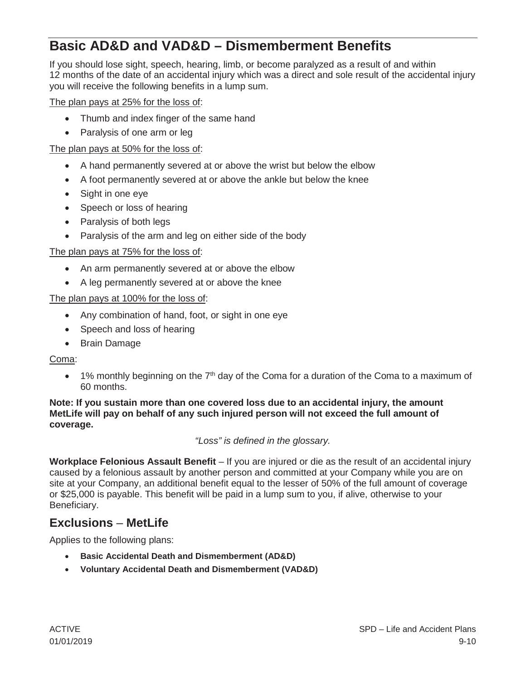# **Basic AD&D and VAD&D – Dismemberment Benefits**

If you should lose sight, speech, hearing, limb, or become paralyzed as a result of and within 12 months of the date of an accidental injury which was a direct and sole result of the accidental injury you will receive the following benefits in a lump sum.

The plan pays at 25% for the loss of:

- Thumb and index finger of the same hand
- Paralysis of one arm or leg

#### The plan pays at 50% for the loss of:

- A hand permanently severed at or above the wrist but below the elbow
- A foot permanently severed at or above the ankle but below the knee
- Sight in one eye
- Speech or loss of hearing
- Paralysis of both legs
- Paralysis of the arm and leg on either side of the body

#### The plan pays at 75% for the loss of:

- An arm permanently severed at or above the elbow
- A leg permanently severed at or above the knee

#### The plan pays at 100% for the loss of:

- Any combination of hand, foot, or sight in one eye
- Speech and loss of hearing
- Brain Damage

#### Coma:

 $\bullet$  1% monthly beginning on the 7<sup>th</sup> day of the Coma for a duration of the Coma to a maximum of 60 months.

#### **Note: If you sustain more than one covered loss due to an accidental injury, the amount MetLife will pay on behalf of any such injured person will not exceed the full amount of coverage.**

#### *"Loss" is defined in the glossary.*

**Workplace Felonious Assault Benefit** – If you are injured or die as the result of an accidental injury caused by a felonious assault by another person and committed at your Company while you are on site at your Company, an additional benefit equal to the lesser of 50% of the full amount of coverage or \$25,000 is payable. This benefit will be paid in a lump sum to you, if alive, otherwise to your Beneficiary.

# **Exclusions** – **MetLife**

Applies to the following plans:

- **Basic Accidental Death and Dismemberment (AD&D)**
- x **Voluntary Accidental Death and Dismemberment (VAD&D)**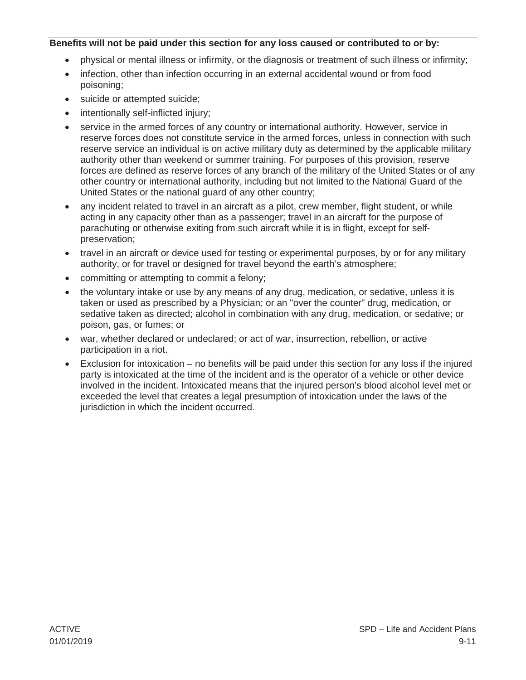#### **Benefits will not be paid under this section for any loss caused or contributed to or by:**

- physical or mental illness or infirmity, or the diagnosis or treatment of such illness or infirmity;
- infection, other than infection occurring in an external accidental wound or from food poisoning;
- suicide or attempted suicide;
- intentionally self-inflicted injury;
- service in the armed forces of any country or international authority. However, service in reserve forces does not constitute service in the armed forces, unless in connection with such reserve service an individual is on active military duty as determined by the applicable military authority other than weekend or summer training. For purposes of this provision, reserve forces are defined as reserve forces of any branch of the military of the United States or of any other country or international authority, including but not limited to the National Guard of the United States or the national guard of any other country;
- any incident related to travel in an aircraft as a pilot, crew member, flight student, or while acting in any capacity other than as a passenger; travel in an aircraft for the purpose of parachuting or otherwise exiting from such aircraft while it is in flight, except for selfpreservation;
- travel in an aircraft or device used for testing or experimental purposes, by or for any military authority, or for travel or designed for travel beyond the earth's atmosphere;
- committing or attempting to commit a felony;
- the voluntary intake or use by any means of any drug, medication, or sedative, unless it is taken or used as prescribed by a Physician; or an "over the counter" drug, medication, or sedative taken as directed; alcohol in combination with any drug, medication, or sedative; or poison, gas, or fumes; or
- war, whether declared or undeclared; or act of war, insurrection, rebellion, or active participation in a riot.
- Exclusion for intoxication no benefits will be paid under this section for any loss if the injured party is intoxicated at the time of the incident and is the operator of a vehicle or other device involved in the incident. Intoxicated means that the injured person's blood alcohol level met or exceeded the level that creates a legal presumption of intoxication under the laws of the jurisdiction in which the incident occurred.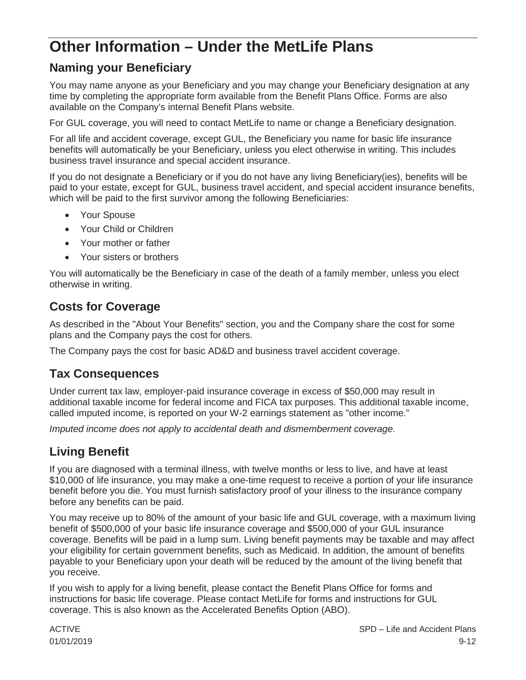# **Other Information – Under the MetLife Plans**

# **Naming your Beneficiary**

You may name anyone as your Beneficiary and you may change your Beneficiary designation at any time by completing the appropriate form available from the Benefit Plans Office. Forms are also available on the Company's internal Benefit Plans website.

For GUL coverage, you will need to contact MetLife to name or change a Beneficiary designation.

For all life and accident coverage, except GUL, the Beneficiary you name for basic life insurance benefits will automatically be your Beneficiary, unless you elect otherwise in writing. This includes business travel insurance and special accident insurance.

If you do not designate a Beneficiary or if you do not have any living Beneficiary(ies), benefits will be paid to your estate, except for GUL, business travel accident, and special accident insurance benefits, which will be paid to the first survivor among the following Beneficiaries:

- Your Spouse
- Your Child or Children
- Your mother or father
- Your sisters or brothers

You will automatically be the Beneficiary in case of the death of a family member, unless you elect otherwise in writing.

### **Costs for Coverage**

As described in the "About Your Benefits" section, you and the Company share the cost for some plans and the Company pays the cost for others.

The Company pays the cost for basic AD&D and business travel accident coverage.

#### **Tax Consequences**

Under current tax law, employer-paid insurance coverage in excess of \$50,000 may result in additional taxable income for federal income and FICA tax purposes. This additional taxable income, called imputed income, is reported on your W-2 earnings statement as "other income."

*Imputed income does not apply to accidental death and dismemberment coverage.*

# **Living Benefit**

If you are diagnosed with a terminal illness, with twelve months or less to live, and have at least \$10,000 of life insurance, you may make a one-time request to receive a portion of your life insurance benefit before you die. You must furnish satisfactory proof of your illness to the insurance company before any benefits can be paid.

You may receive up to 80% of the amount of your basic life and GUL coverage, with a maximum living benefit of \$500,000 of your basic life insurance coverage and \$500,000 of your GUL insurance coverage. Benefits will be paid in a lump sum. Living benefit payments may be taxable and may affect your eligibility for certain government benefits, such as Medicaid. In addition, the amount of benefits payable to your Beneficiary upon your death will be reduced by the amount of the living benefit that you receive.

If you wish to apply for a living benefit, please contact the Benefit Plans Office for forms and instructions for basic life coverage. Please contact MetLife for forms and instructions for GUL coverage. This is also known as the Accelerated Benefits Option (ABO).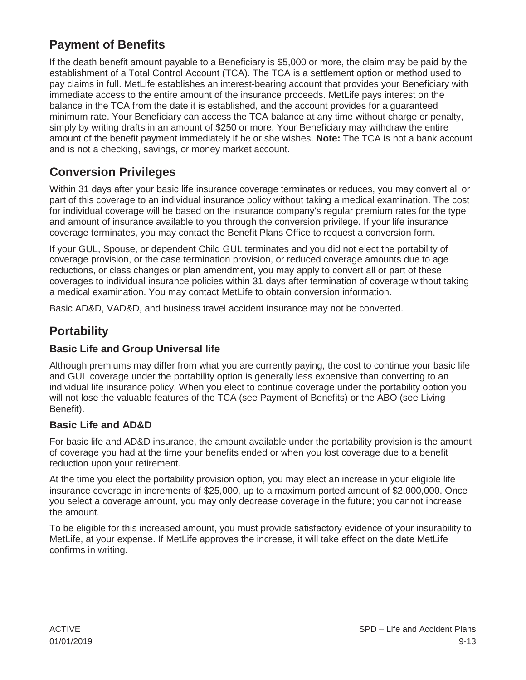# **Payment of Benefits**

If the death benefit amount payable to a Beneficiary is \$5,000 or more, the claim may be paid by the establishment of a Total Control Account (TCA). The TCA is a settlement option or method used to pay claims in full. MetLife establishes an interest-bearing account that provides your Beneficiary with immediate access to the entire amount of the insurance proceeds. MetLife pays interest on the balance in the TCA from the date it is established, and the account provides for a guaranteed minimum rate. Your Beneficiary can access the TCA balance at any time without charge or penalty, simply by writing drafts in an amount of \$250 or more. Your Beneficiary may withdraw the entire amount of the benefit payment immediately if he or she wishes. **Note:** The TCA is not a bank account and is not a checking, savings, or money market account.

### **Conversion Privileges**

Within 31 days after your basic life insurance coverage terminates or reduces, you may convert all or part of this coverage to an individual insurance policy without taking a medical examination. The cost for individual coverage will be based on the insurance company's regular premium rates for the type and amount of insurance available to you through the conversion privilege. If your life insurance coverage terminates, you may contact the Benefit Plans Office to request a conversion form.

If your GUL, Spouse, or dependent Child GUL terminates and you did not elect the portability of coverage provision, or the case termination provision, or reduced coverage amounts due to age reductions, or class changes or plan amendment, you may apply to convert all or part of these coverages to individual insurance policies within 31 days after termination of coverage without taking a medical examination. You may contact MetLife to obtain conversion information.

Basic AD&D, VAD&D, and business travel accident insurance may not be converted.

# **Portability**

#### **Basic Life and Group Universal life**

Although premiums may differ from what you are currently paying, the cost to continue your basic life and GUL coverage under the portability option is generally less expensive than converting to an individual life insurance policy. When you elect to continue coverage under the portability option you will not lose the valuable features of the TCA (see Payment of Benefits) or the ABO (see Living Benefit).

#### **Basic Life and AD&D**

For basic life and AD&D insurance, the amount available under the portability provision is the amount of coverage you had at the time your benefits ended or when you lost coverage due to a benefit reduction upon your retirement.

At the time you elect the portability provision option, you may elect an increase in your eligible life insurance coverage in increments of \$25,000, up to a maximum ported amount of \$2,000,000. Once you select a coverage amount, you may only decrease coverage in the future; you cannot increase the amount.

To be eligible for this increased amount, you must provide satisfactory evidence of your insurability to MetLife, at your expense. If MetLife approves the increase, it will take effect on the date MetLife confirms in writing.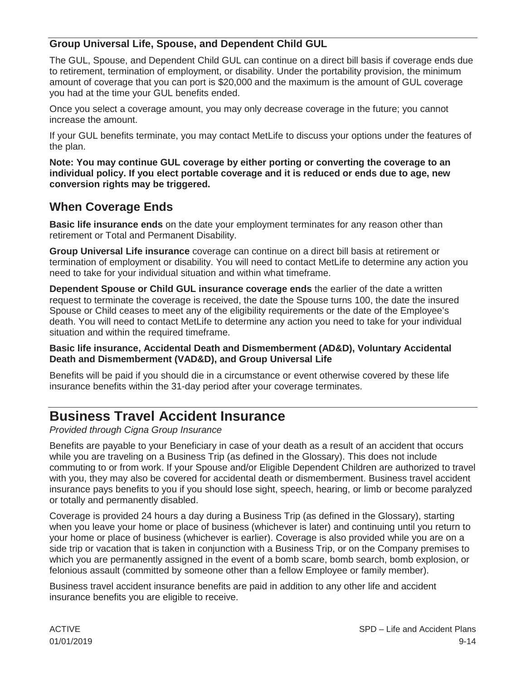#### **Group Universal Life, Spouse, and Dependent Child GUL**

The GUL, Spouse, and Dependent Child GUL can continue on a direct bill basis if coverage ends due to retirement, termination of employment, or disability. Under the portability provision, the minimum amount of coverage that you can port is \$20,000 and the maximum is the amount of GUL coverage you had at the time your GUL benefits ended.

Once you select a coverage amount, you may only decrease coverage in the future; you cannot increase the amount.

If your GUL benefits terminate, you may contact MetLife to discuss your options under the features of the plan.

**Note: You may continue GUL coverage by either porting or converting the coverage to an individual policy. If you elect portable coverage and it is reduced or ends due to age, new conversion rights may be triggered.**

### **When Coverage Ends**

**Basic life insurance ends** on the date your employment terminates for any reason other than retirement or Total and Permanent Disability.

**Group Universal Life insurance** coverage can continue on a direct bill basis at retirement or termination of employment or disability. You will need to contact MetLife to determine any action you need to take for your individual situation and within what timeframe.

**Dependent Spouse or Child GUL insurance coverage ends** the earlier of the date a written request to terminate the coverage is received, the date the Spouse turns 100, the date the insured Spouse or Child ceases to meet any of the eligibility requirements or the date of the Employee's death. You will need to contact MetLife to determine any action you need to take for your individual situation and within the required timeframe.

#### **Basic life insurance, Accidental Death and Dismemberment (AD&D), Voluntary Accidental Death and Dismemberment (VAD&D), and Group Universal Life**

Benefits will be paid if you should die in a circumstance or event otherwise covered by these life insurance benefits within the 31-day period after your coverage terminates.

# **Business Travel Accident Insurance**

*Provided through Cigna Group Insurance*

Benefits are payable to your Beneficiary in case of your death as a result of an accident that occurs while you are traveling on a Business Trip (as defined in the Glossary). This does not include commuting to or from work. If your Spouse and/or Eligible Dependent Children are authorized to travel with you, they may also be covered for accidental death or dismemberment. Business travel accident insurance pays benefits to you if you should lose sight, speech, hearing, or limb or become paralyzed or totally and permanently disabled.

Coverage is provided 24 hours a day during a Business Trip (as defined in the Glossary), starting when you leave your home or place of business (whichever is later) and continuing until you return to your home or place of business (whichever is earlier). Coverage is also provided while you are on a side trip or vacation that is taken in conjunction with a Business Trip, or on the Company premises to which you are permanently assigned in the event of a bomb scare, bomb search, bomb explosion, or felonious assault (committed by someone other than a fellow Employee or family member).

Business travel accident insurance benefits are paid in addition to any other life and accident insurance benefits you are eligible to receive.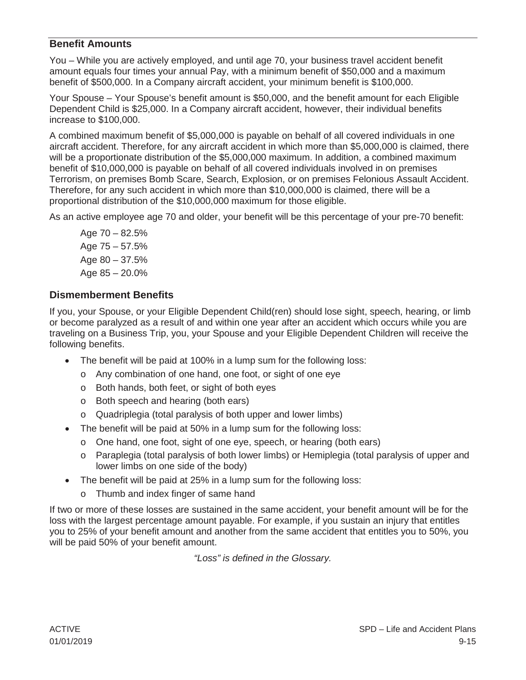#### **Benefit Amounts**

You – While you are actively employed, and until age 70, your business travel accident benefit amount equals four times your annual Pay, with a minimum benefit of \$50,000 and a maximum benefit of \$500,000. In a Company aircraft accident, your minimum benefit is \$100,000.

Your Spouse – Your Spouse's benefit amount is \$50,000, and the benefit amount for each Eligible Dependent Child is \$25,000. In a Company aircraft accident, however, their individual benefits increase to \$100,000.

A combined maximum benefit of \$5,000,000 is payable on behalf of all covered individuals in one aircraft accident. Therefore, for any aircraft accident in which more than \$5,000,000 is claimed, there will be a proportionate distribution of the \$5,000,000 maximum. In addition, a combined maximum benefit of \$10,000,000 is payable on behalf of all covered individuals involved in on premises Terrorism, on premises Bomb Scare, Search, Explosion, or on premises Felonious Assault Accident. Therefore, for any such accident in which more than \$10,000,000 is claimed, there will be a proportional distribution of the \$10,000,000 maximum for those eligible.

As an active employee age 70 and older, your benefit will be this percentage of your pre-70 benefit:

Age  $70 - 82.5%$ Age  $75 - 57.5%$ Age  $80 - 37.5%$ Age 85 – 20.0%

#### **Dismemberment Benefits**

If you, your Spouse, or your Eligible Dependent Child(ren) should lose sight, speech, hearing, or limb or become paralyzed as a result of and within one year after an accident which occurs while you are traveling on a Business Trip, you, your Spouse and your Eligible Dependent Children will receive the following benefits.

- $\bullet$  The benefit will be paid at 100% in a lump sum for the following loss:
	- o Any combination of one hand, one foot, or sight of one eye
	- o Both hands, both feet, or sight of both eyes
	- o Both speech and hearing (both ears)
	- o Quadriplegia (total paralysis of both upper and lower limbs)
- $\bullet$  The benefit will be paid at 50% in a lump sum for the following loss:
	- o One hand, one foot, sight of one eye, speech, or hearing (both ears)
	- o Paraplegia (total paralysis of both lower limbs) or Hemiplegia (total paralysis of upper and lower limbs on one side of the body)
- The benefit will be paid at 25% in a lump sum for the following loss:
	- o Thumb and index finger of same hand

If two or more of these losses are sustained in the same accident, your benefit amount will be for the loss with the largest percentage amount payable. For example, if you sustain an injury that entitles you to 25% of your benefit amount and another from the same accident that entitles you to 50%, you will be paid 50% of your benefit amount.

*"Loss" is defined in the Glossary.*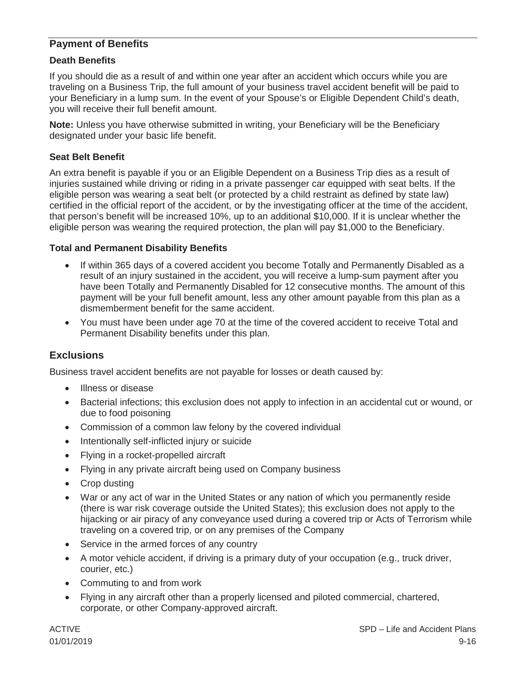#### **Payment of Benefits**

#### **Death Benefits**

If you should die as a result of and within one year after an accident which occurs while you are traveling on a Business Trip, the full amount of your business travel accident benefit will be paid to your Beneficiary in a lump sum. In the event of your Spouse's or Eligible Dependent Child's death, you will receive their full benefit amount.

**Note:** Unless you have otherwise submitted in writing, your Beneficiary will be the Beneficiary designated under your basic life benefit.

#### **Seat Belt Benefit**

An extra benefit is payable if you or an Eligible Dependent on a Business Trip dies as a result of injuries sustained while driving or riding in a private passenger car equipped with seat belts. If the eligible person was wearing a seat belt (or protected by a child restraint as defined by state law) certified in the official report of the accident, or by the investigating officer at the time of the accident, that person's benefit will be increased 10%, up to an additional \$10,000. If it is unclear whether the eligible person was wearing the required protection, the plan will pay \$1,000 to the Beneficiary.

#### **Total and Permanent Disability Benefits**

- If within 365 days of a covered accident you become Totally and Permanently Disabled as a result of an injury sustained in the accident, you will receive a lump-sum payment after you have been Totally and Permanently Disabled for 12 consecutive months. The amount of this payment will be your full benefit amount, less any other amount payable from this plan as a dismemberment benefit for the same accident.
- You must have been under age 70 at the time of the covered accident to receive Total and Permanent Disability benefits under this plan.

#### **Exclusions**

Business travel accident benefits are not payable for losses or death caused by:

- Illness or disease
- Bacterial infections; this exclusion does not apply to infection in an accidental cut or wound, or due to food poisoning
- Commission of a common law felony by the covered individual
- Intentionally self-inflicted injury or suicide
- Flying in a rocket-propelled aircraft
- Flying in any private aircraft being used on Company business
- $\bullet$  Crop dusting
- War or any act of war in the United States or any nation of which you permanently reside (there is war risk coverage outside the United States); this exclusion does not apply to the hijacking or air piracy of any conveyance used during a covered trip or Acts of Terrorism while traveling on a covered trip, or on any premises of the Company
- Service in the armed forces of any country
- $\bullet$  A motor vehicle accident, if driving is a primary duty of your occupation (e.g., truck driver, courier, etc.)
- Commuting to and from work
- Flying in any aircraft other than a properly licensed and piloted commercial, chartered, corporate, or other Company-approved aircraft.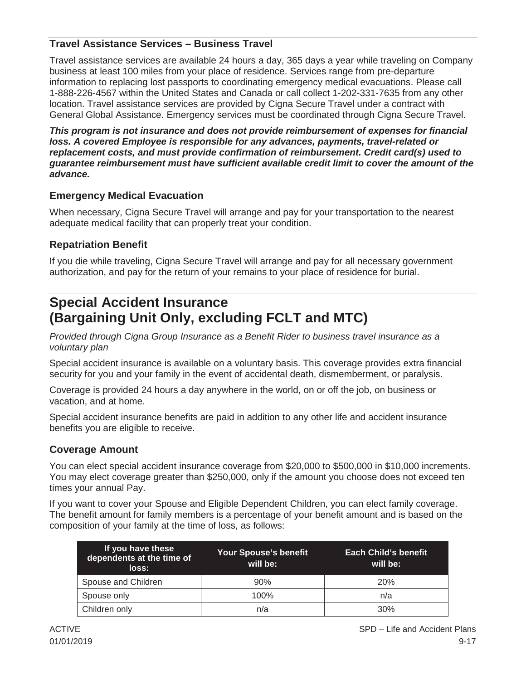#### **Travel Assistance Services – Business Travel**

Travel assistance services are available 24 hours a day, 365 days a year while traveling on Company business at least 100 miles from your place of residence. Services range from pre-departure information to replacing lost passports to coordinating emergency medical evacuations. Please call 1-888-226-4567 within the United States and Canada or call collect 1-202-331-7635 from any other location. Travel assistance services are provided by Cigna Secure Travel under a contract with General Global Assistance. Emergency services must be coordinated through Cigna Secure Travel.

*This program is not insurance and does not provide reimbursement of expenses for financial loss. A covered Employee is responsible for any advances, payments, travel-related or replacement costs, and must provide confirmation of reimbursement. Credit card(s) used to guarantee reimbursement must have sufficient available credit limit to cover the amount of the advance.*

#### **Emergency Medical Evacuation**

When necessary, Cigna Secure Travel will arrange and pay for your transportation to the nearest adequate medical facility that can properly treat your condition.

#### **Repatriation Benefit**

If you die while traveling, Cigna Secure Travel will arrange and pay for all necessary government authorization, and pay for the return of your remains to your place of residence for burial.

# **Special Accident Insurance (Bargaining Unit Only, excluding FCLT and MTC)**

*Provided through Cigna Group Insurance as a Benefit Rider to business travel insurance as a voluntary plan*

Special accident insurance is available on a voluntary basis. This coverage provides extra financial security for you and your family in the event of accidental death, dismemberment, or paralysis.

Coverage is provided 24 hours a day anywhere in the world, on or off the job, on business or vacation, and at home.

Special accident insurance benefits are paid in addition to any other life and accident insurance benefits you are eligible to receive.

#### **Coverage Amount**

You can elect special accident insurance coverage from \$20,000 to \$500,000 in \$10,000 increments. You may elect coverage greater than \$250,000, only if the amount you choose does not exceed ten times your annual Pay.

If you want to cover your Spouse and Eligible Dependent Children, you can elect family coverage. The benefit amount for family members is a percentage of your benefit amount and is based on the composition of your family at the time of loss, as follows:

| If you have these<br>dependents at the time of<br>loss: | <b>Your Spouse's benefit</b><br>will be: | <b>Each Child's benefit</b><br>will be: |
|---------------------------------------------------------|------------------------------------------|-----------------------------------------|
| Spouse and Children                                     | 90%                                      | <b>20%</b>                              |
| Spouse only                                             | 100%                                     | n/a                                     |
| Children only                                           | n/a                                      | 30%                                     |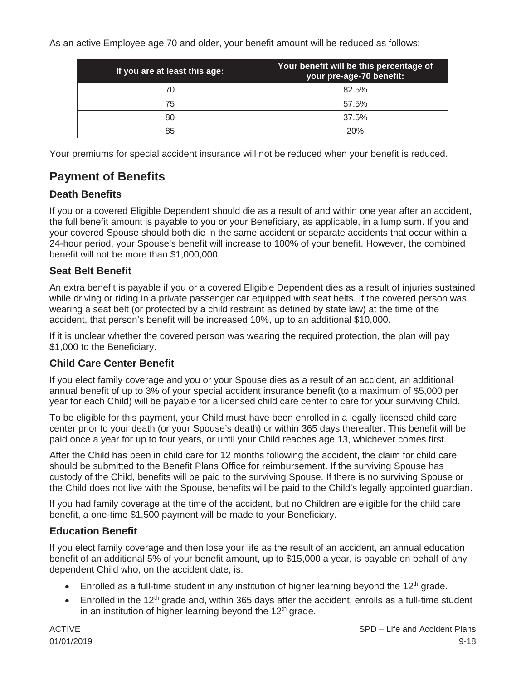As an active Employee age 70 and older, your benefit amount will be reduced as follows:

| If you are at least this age: | Your benefit will be this percentage of<br>your pre-age-70 benefit: |
|-------------------------------|---------------------------------------------------------------------|
| 70                            | 82.5%                                                               |
| 75                            | 57.5%                                                               |
| 80                            | 37.5%                                                               |
| 85                            | 20%                                                                 |

Your premiums for special accident insurance will not be reduced when your benefit is reduced.

# **Payment of Benefits**

#### **Death Benefits**

If you or a covered Eligible Dependent should die as a result of and within one year after an accident, the full benefit amount is payable to you or your Beneficiary, as applicable, in a lump sum. If you and your covered Spouse should both die in the same accident or separate accidents that occur within a 24-hour period, your Spouse's benefit will increase to 100% of your benefit. However, the combined benefit will not be more than \$1,000,000.

#### **Seat Belt Benefit**

An extra benefit is payable if you or a covered Eligible Dependent dies as a result of injuries sustained while driving or riding in a private passenger car equipped with seat belts. If the covered person was wearing a seat belt (or protected by a child restraint as defined by state law) at the time of the accident, that person's benefit will be increased 10%, up to an additional \$10,000.

If it is unclear whether the covered person was wearing the required protection, the plan will pay \$1,000 to the Beneficiary.

#### **Child Care Center Benefit**

If you elect family coverage and you or your Spouse dies as a result of an accident, an additional annual benefit of up to 3% of your special accident insurance benefit (to a maximum of \$5,000 per year for each Child) will be payable for a licensed child care center to care for your surviving Child.

To be eligible for this payment, your Child must have been enrolled in a legally licensed child care center prior to your death (or your Spouse's death) or within 365 days thereafter. This benefit will be paid once a year for up to four years, or until your Child reaches age 13, whichever comes first.

After the Child has been in child care for 12 months following the accident, the claim for child care should be submitted to the Benefit Plans Office for reimbursement. If the surviving Spouse has custody of the Child, benefits will be paid to the surviving Spouse. If there is no surviving Spouse or the Child does not live with the Spouse, benefits will be paid to the Child's legally appointed guardian.

If you had family coverage at the time of the accident, but no Children are eligible for the child care benefit, a one-time \$1,500 payment will be made to your Beneficiary.

#### **Education Benefit**

If you elect family coverage and then lose your life as the result of an accident, an annual education benefit of an additional 5% of your benefit amount, up to \$15,000 a year, is payable on behalf of any dependent Child who, on the accident date, is:

- **Enrolled as a full-time student in any institution of higher learning beyond the 12th grade.**
- **Enrolled in the 12<sup>th</sup> grade and, within 365 days after the accident, enrolls as a full-time student** in an institution of higher learning beyond the  $12<sup>th</sup>$  grade.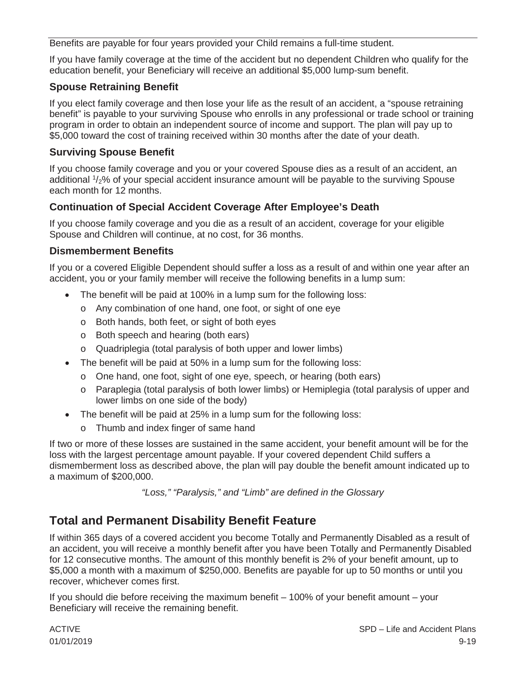Benefits are payable for four years provided your Child remains a full-time student.

If you have family coverage at the time of the accident but no dependent Children who qualify for the education benefit, your Beneficiary will receive an additional \$5,000 lump-sum benefit.

#### **Spouse Retraining Benefit**

If you elect family coverage and then lose your life as the result of an accident, a "spouse retraining benefit" is payable to your surviving Spouse who enrolls in any professional or trade school or training program in order to obtain an independent source of income and support. The plan will pay up to \$5,000 toward the cost of training received within 30 months after the date of your death.

#### **Surviving Spouse Benefit**

If you choose family coverage and you or your covered Spouse dies as a result of an accident, an additional  $\frac{1}{2}$ % of your special accident insurance amount will be payable to the surviving Spouse each month for 12 months.

#### **Continuation of Special Accident Coverage After Employee's Death**

If you choose family coverage and you die as a result of an accident, coverage for your eligible Spouse and Children will continue, at no cost, for 36 months.

#### **Dismemberment Benefits**

If you or a covered Eligible Dependent should suffer a loss as a result of and within one year after an accident, you or your family member will receive the following benefits in a lump sum:

- The benefit will be paid at 100% in a lump sum for the following loss:
	- o Any combination of one hand, one foot, or sight of one eye
	- o Both hands, both feet, or sight of both eyes
	- o Both speech and hearing (both ears)
	- o Quadriplegia (total paralysis of both upper and lower limbs)
- $\bullet$  The benefit will be paid at 50% in a lump sum for the following loss:
	- o One hand, one foot, sight of one eye, speech, or hearing (both ears)
	- o Paraplegia (total paralysis of both lower limbs) or Hemiplegia (total paralysis of upper and lower limbs on one side of the body)
- $\bullet$  The benefit will be paid at 25% in a lump sum for the following loss:
	- o Thumb and index finger of same hand

If two or more of these losses are sustained in the same accident, your benefit amount will be for the loss with the largest percentage amount payable. If your covered dependent Child suffers a dismemberment loss as described above, the plan will pay double the benefit amount indicated up to a maximum of \$200,000.

*"Loss," "Paralysis," and "Limb" are defined in the Glossary*

# **Total and Permanent Disability Benefit Feature**

If within 365 days of a covered accident you become Totally and Permanently Disabled as a result of an accident, you will receive a monthly benefit after you have been Totally and Permanently Disabled for 12 consecutive months. The amount of this monthly benefit is 2% of your benefit amount, up to \$5,000 a month with a maximum of \$250,000. Benefits are payable for up to 50 months or until you recover, whichever comes first.

If you should die before receiving the maximum benefit – 100% of your benefit amount – your Beneficiary will receive the remaining benefit.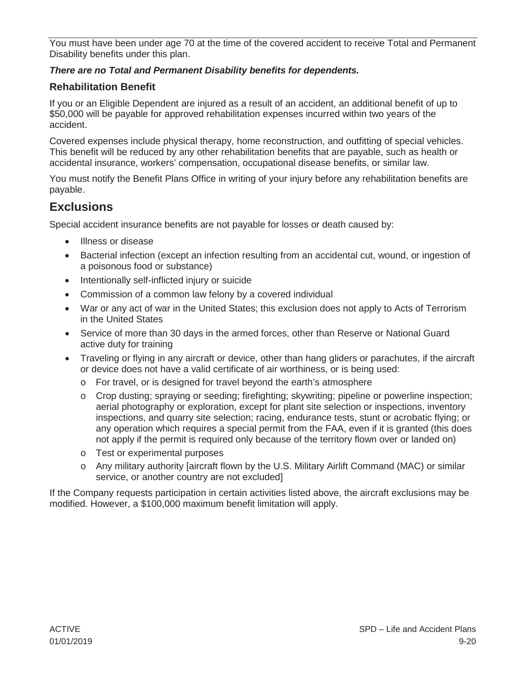You must have been under age 70 at the time of the covered accident to receive Total and Permanent Disability benefits under this plan.

#### *There are no Total and Permanent Disability benefits for dependents.*

#### **Rehabilitation Benefit**

If you or an Eligible Dependent are injured as a result of an accident, an additional benefit of up to \$50,000 will be payable for approved rehabilitation expenses incurred within two years of the accident.

Covered expenses include physical therapy, home reconstruction, and outfitting of special vehicles. This benefit will be reduced by any other rehabilitation benefits that are payable, such as health or accidental insurance, workers' compensation, occupational disease benefits, or similar law.

You must notify the Benefit Plans Office in writing of your injury before any rehabilitation benefits are payable.

### **Exclusions**

Special accident insurance benefits are not payable for losses or death caused by:

- Illness or disease
- Bacterial infection (except an infection resulting from an accidental cut, wound, or ingestion of a poisonous food or substance)
- Intentionally self-inflicted injury or suicide
- Commission of a common law felony by a covered individual
- War or any act of war in the United States; this exclusion does not apply to Acts of Terrorism in the United States
- Service of more than 30 days in the armed forces, other than Reserve or National Guard active duty for training
- Traveling or flying in any aircraft or device, other than hang gliders or parachutes, if the aircraft or device does not have a valid certificate of air worthiness, or is being used:
	- o For travel, or is designed for travel beyond the earth's atmosphere
	- o Crop dusting; spraying or seeding; firefighting; skywriting; pipeline or powerline inspection; aerial photography or exploration, except for plant site selection or inspections, inventory inspections, and quarry site selection; racing, endurance tests, stunt or acrobatic flying; or any operation which requires a special permit from the FAA, even if it is granted (this does not apply if the permit is required only because of the territory flown over or landed on)
	- o Test or experimental purposes
	- o Any military authority [aircraft flown by the U.S. Military Airlift Command (MAC) or similar service, or another country are not excluded]

If the Company requests participation in certain activities listed above, the aircraft exclusions may be modified. However, a \$100,000 maximum benefit limitation will apply.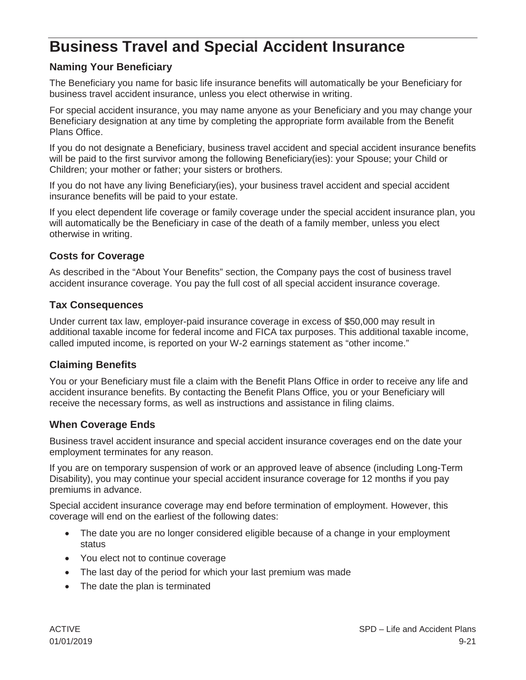# **Business Travel and Special Accident Insurance**

#### **Naming Your Beneficiary**

The Beneficiary you name for basic life insurance benefits will automatically be your Beneficiary for business travel accident insurance, unless you elect otherwise in writing.

For special accident insurance, you may name anyone as your Beneficiary and you may change your Beneficiary designation at any time by completing the appropriate form available from the Benefit Plans Office.

If you do not designate a Beneficiary, business travel accident and special accident insurance benefits will be paid to the first survivor among the following Beneficiary(ies): your Spouse; your Child or Children; your mother or father; your sisters or brothers.

If you do not have any living Beneficiary(ies), your business travel accident and special accident insurance benefits will be paid to your estate.

If you elect dependent life coverage or family coverage under the special accident insurance plan, you will automatically be the Beneficiary in case of the death of a family member, unless you elect otherwise in writing.

#### **Costs for Coverage**

As described in the "About Your Benefits" section, the Company pays the cost of business travel accident insurance coverage. You pay the full cost of all special accident insurance coverage.

#### **Tax Consequences**

Under current tax law, employer-paid insurance coverage in excess of \$50,000 may result in additional taxable income for federal income and FICA tax purposes. This additional taxable income, called imputed income, is reported on your W-2 earnings statement as "other income."

#### **Claiming Benefits**

You or your Beneficiary must file a claim with the Benefit Plans Office in order to receive any life and accident insurance benefits. By contacting the Benefit Plans Office, you or your Beneficiary will receive the necessary forms, as well as instructions and assistance in filing claims.

#### **When Coverage Ends**

Business travel accident insurance and special accident insurance coverages end on the date your employment terminates for any reason.

If you are on temporary suspension of work or an approved leave of absence (including Long-Term Disability), you may continue your special accident insurance coverage for 12 months if you pay premiums in advance.

Special accident insurance coverage may end before termination of employment. However, this coverage will end on the earliest of the following dates:

- The date you are no longer considered eligible because of a change in your employment status
- You elect not to continue coverage
- The last day of the period for which your last premium was made
- The date the plan is terminated